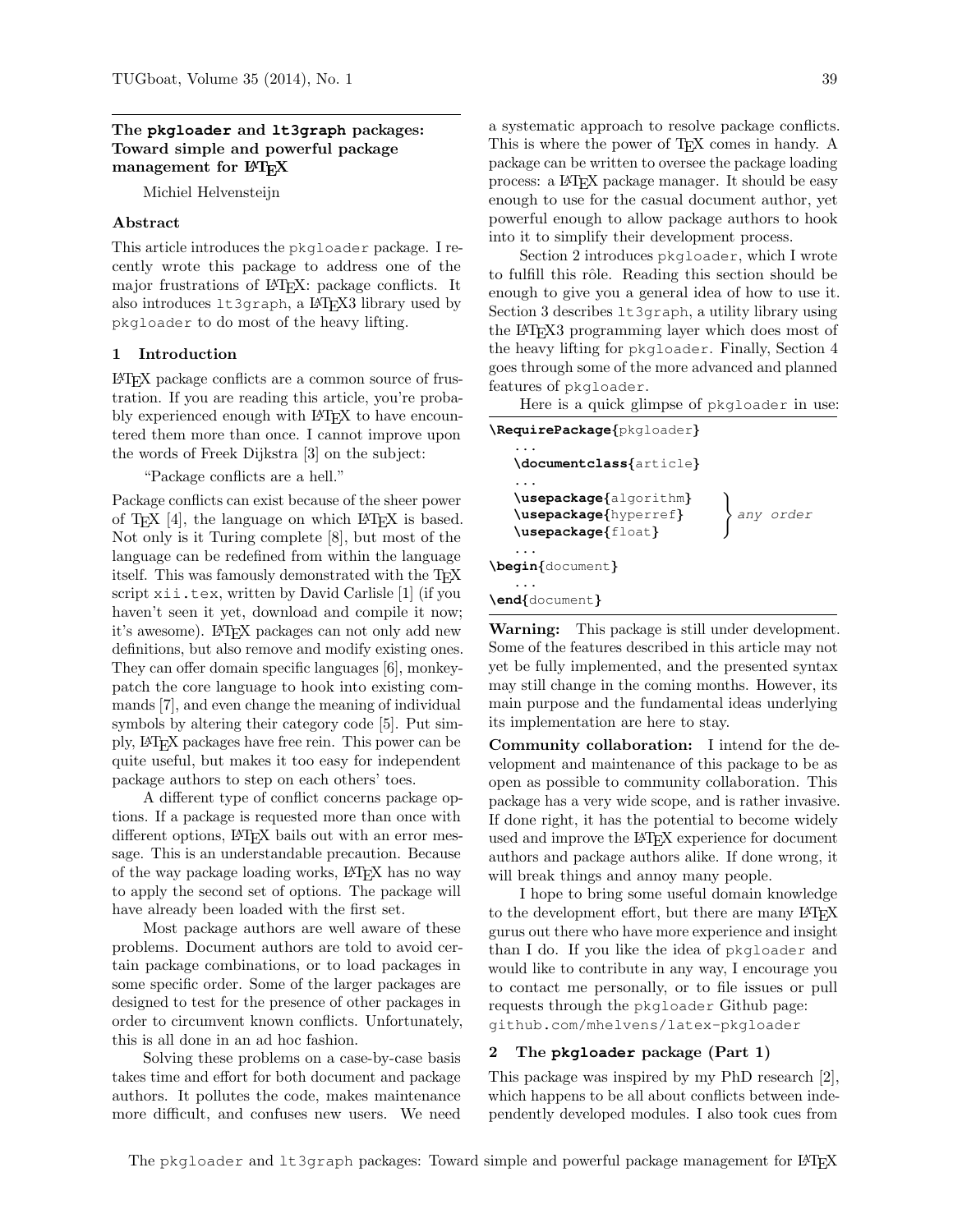## The **pkgloader** and **lt3graph** packages: Toward simple and powerful package management for LAT<sub>EX</sub>

Michiel Helvensteijn

## Abstract

This article introduces the pkgloader package. I recently wrote this package to address one of the major frustrations of LATEX: package conflicts. It also introduces  $l$ t3graph, a LAT<sub>EX</sub>3 library used by pkgloader to do most of the heavy lifting.

## <span id="page-0-1"></span>1 Introduction

LATEX package conflicts are a common source of frustration. If you are reading this article, you're probably experienced enough with LAT<sub>EX</sub> to have encountered them more than once. I cannot improve upon the words of Freek Dijkstra [\[3\]](#page-4-0) on the subject:

"Package conflicts are a hell."

Package conflicts can exist because of the sheer power of T<sub>F</sub>X  $[4]$ , the language on which L<sup>AT</sup>F<sub>*N*</sub> is based. Not only is it Turing complete [\[8\]](#page-4-2), but most of the language can be redefined from within the language itself. This was famously demonstrated with the T<sub>E</sub>X script xii.tex, written by David Carlisle [\[1\]](#page-4-3) (if you haven't seen it yet, download and compile it now; it's awesome). LAT<sub>EX</sub> packages can not only add new definitions, but also remove and modify existing ones. They can offer domain specific languages [\[6\]](#page-4-4), monkeypatch the core language to hook into existing commands [\[7\]](#page-4-5), and even change the meaning of individual symbols by altering their category code [\[5\]](#page-4-6). Put simply, LATEX packages have free rein. This power can be quite useful, but makes it too easy for independent package authors to step on each others' toes.

A different type of conflict concerns package options. If a package is requested more than once with different options, LAT<sub>EX</sub> bails out with an error message. This is an understandable precaution. Because of the way package loading works, LAT<sub>EX</sub> has no way to apply the second set of options. The package will have already been loaded with the first set.

Most package authors are well aware of these problems. Document authors are told to avoid certain package combinations, or to load packages in some specific order. Some of the larger packages are designed to test for the presence of other packages in order to circumvent known conflicts. Unfortunately, this is all done in an ad hoc fashion.

Solving these problems on a case-by-case basis takes time and effort for both document and package authors. It pollutes the code, makes maintenance more difficult, and confuses new users. We need

a systematic approach to resolve package conflicts. This is where the power of TEX comes in handy. A package can be written to oversee the package loading process: a LATEX package manager. It should be easy enough to use for the casual document author, yet powerful enough to allow package authors to hook into it to simplify their development process.

Section [2](#page-0-0) introduces pkgloader, which I wrote to fulfill this rôle. Reading this section should be enough to give you a general idea of how to use it. Section [3](#page-1-0) describes lt3graph, a utility library using the LATEX3 programming layer which does most of the heavy lifting for pkgloader. Finally, Section [4](#page-2-0) goes through some of the more advanced and planned features of pkgloader.

Here is a quick glimpse of pkgloader in use:

| \RequirePackage{pkgloader}                                            |           |
|-----------------------------------------------------------------------|-----------|
| \documentclass{article}                                               |           |
| \usepackage{algorithm}<br>\usepackage{hyperref}<br>\usepackage{float} | any order |
| \begin{document}                                                      |           |
| \end{document}                                                        |           |

Warning: This package is still under development. Some of the features described in this article may not yet be fully implemented, and the presented syntax may still change in the coming months. However, its main purpose and the fundamental ideas underlying its implementation are here to stay.

Community collaboration: I intend for the development and maintenance of this package to be as open as possible to community collaboration. This package has a very wide scope, and is rather invasive. If done right, it has the potential to become widely used and improve the L<sup>AT</sup>EX experience for document authors and package authors alike. If done wrong, it will break things and annoy many people.

I hope to bring some useful domain knowledge to the development effort, but there are many LAT<sub>EX</sub> gurus out there who have more experience and insight than I do. If you like the idea of pkgloader and would like to contribute in any way, I encourage you to contact me personally, or to file issues or pull requests through the pkgloader Github page: [github.com/mhelvens/latex-pkgloader](https://www.github.com/mhelvens/latex-pkgloader)

#### <span id="page-0-0"></span>2 The **pkgloader** package (Part 1)

This package was inspired by my PhD research [\[2\]](#page-4-7), which happens to be all about conflicts between independently developed modules. I also took cues from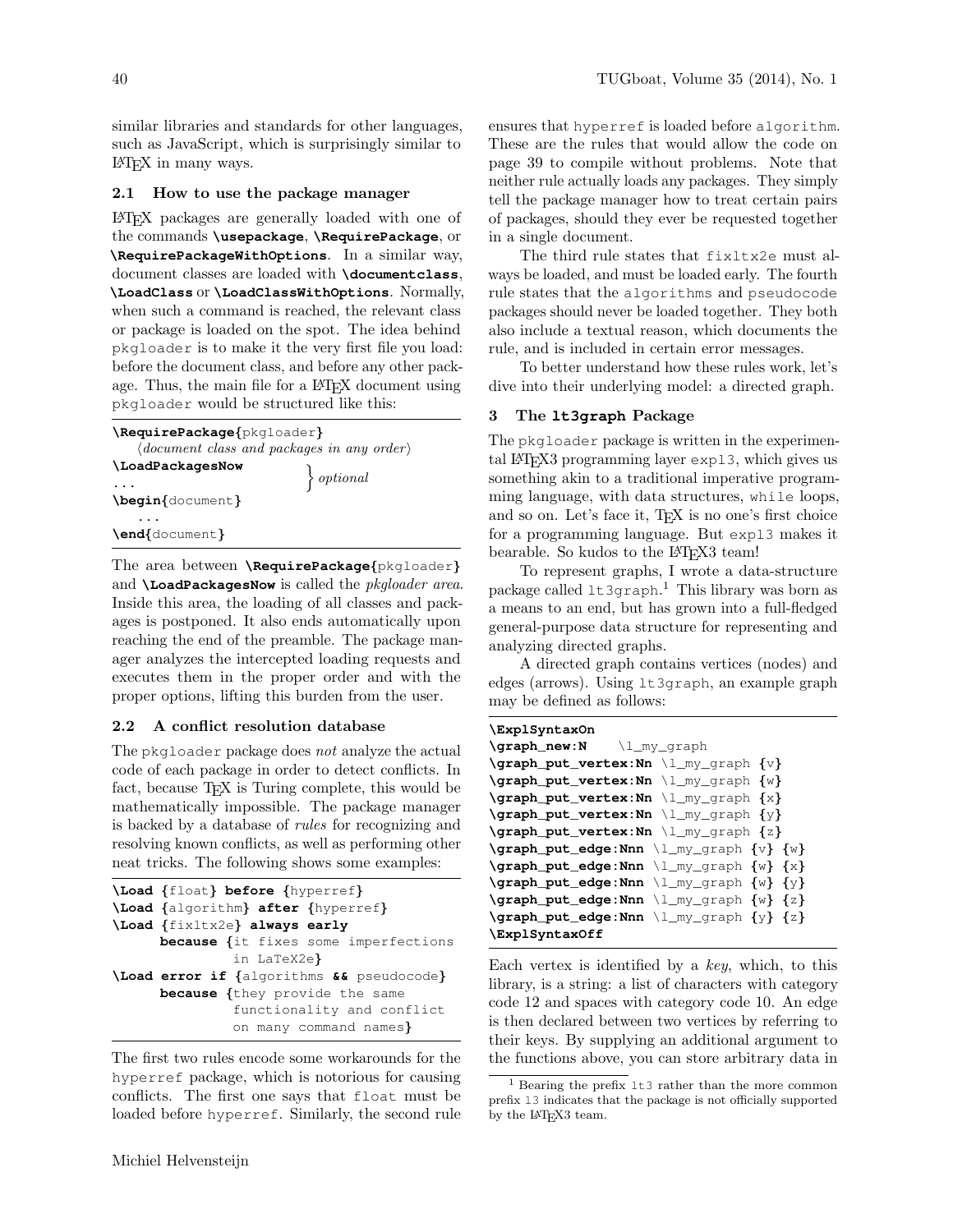similar libraries and standards for other languages, such as JavaScript, which is surprisingly similar to LATEX in many ways.

#### 2.1 How to use the package manager

LATEX packages are generally loaded with one of the commands **\usepackage**, **\RequirePackage**, or **\RequirePackageWithOptions**. In a similar way, document classes are loaded with **\documentclass**, **\LoadClass** or **\LoadClassWithOptions**. Normally, when such a command is reached, the relevant class or package is loaded on the spot. The idea behind pkgloader is to make it the very first file you load: before the document class, and before any other package. Thus, the main file for a L<sup>AT</sup>EX document using pkgloader would be structured like this:

| \RequirePackage{pkgloader}                                                   |               |
|------------------------------------------------------------------------------|---------------|
| $\langle document \; class \; and \; packages \; in \; any \; order \rangle$ |               |
| \LoadPackagesNow                                                             |               |
|                                                                              | $\}$ optional |
| \begin{document}                                                             |               |
|                                                                              |               |
| \end{document}                                                               |               |
|                                                                              |               |

The area between **\RequirePackage**{pkgloader} and **\LoadPackagesNow** is called the pkgloader area. Inside this area, the loading of all classes and packages is postponed. It also ends automatically upon reaching the end of the preamble. The package manager analyzes the intercepted loading requests and executes them in the proper order and with the proper options, lifting this burden from the user.

## 2.2 A conflict resolution database

The pkgloader package does not analyze the actual code of each package in order to detect conflicts. In fact, because T<sub>E</sub>X is Turing complete, this would be mathematically impossible. The package manager is backed by a database of rules for recognizing and resolving known conflicts, as well as performing other neat tricks. The following shows some examples:

```
\Load {float} before {hyperref}
\Load {algorithm} after {hyperref}
\Load {fixltx2e} always early
      because {it fixes some imperfections
               in LaTeX2e}
\Load error if {algorithms && pseudocode}
      because {they provide the same
               functionality and conflict
               on many command names}
```
The first two rules encode some workarounds for the hyperref package, which is notorious for causing conflicts. The first one says that float must be loaded before hyperref. Similarly, the second rule ensures that hyperref is loaded before algorithm. These are the rules that would allow the code on page [39](#page-0-1) to compile without problems. Note that neither rule actually loads any packages. They simply tell the package manager how to treat certain pairs of packages, should they ever be requested together in a single document.

The third rule states that fixltx2e must always be loaded, and must be loaded early. The fourth rule states that the algorithms and pseudocode packages should never be loaded together. They both also include a textual reason, which documents the rule, and is included in certain error messages.

To better understand how these rules work, let's dive into their underlying model: a directed graph.

## <span id="page-1-0"></span>3 The **lt3graph** Package

The pkgloader package is written in the experimental LATEX3 programming layer expl3, which gives us something akin to a traditional imperative programming language, with data structures, while loops, and so on. Let's face it, T<sub>E</sub>X is no one's first choice for a programming language. But expl3 makes it bearable. So kudos to the LAT<sub>EX3</sub> team!

To represent graphs, I wrote a data-structure package called lt3graph. [1](#page-1-1) This library was born as a means to an end, but has grown into a full-fledged general-purpose data structure for representing and analyzing directed graphs.

A directed graph contains vertices (nodes) and edges (arrows). Using lt3graph, an example graph may be defined as follows:

# **\ExplSyntaxOn**

```
\graph_new:N \l_my_graph
\graph_put_vertex:Nn \l_my_graph {v}
\graph_put_vertex:Nn \l_my_graph {w}
\graph_put_vertex:Nn \l_my_graph {x}
\graph_put_vertex:Nn \l_my_graph {y}
\graph_put_vertex:Nn \l_my_graph {z}
\graph_put_edge:Nnn \l_my_graph {v} {w}
\graph_put_edge:Nnn \l_my_graph {w} {x}
\graph_put_edge:Nnn \l_my_graph {w} {y}
\graph_put_edge:Nnn \l_my_graph {w} {z}
\graph_put_edge:Nnn \l_my_graph {y} {z}
\ExplSyntaxOff
```
Each vertex is identified by a key, which, to this library, is a string: a list of characters with category code 12 and spaces with category code 10. An edge is then declared between two vertices by referring to their keys. By supplying an additional argument to the functions above, you can store arbitrary data in

<span id="page-1-1"></span><sup>&</sup>lt;sup>1</sup> Bearing the prefix  $1t3$  rather than the more common prefix l3 indicates that the package is not officially supported by the LAT<sub>F</sub>X3 team.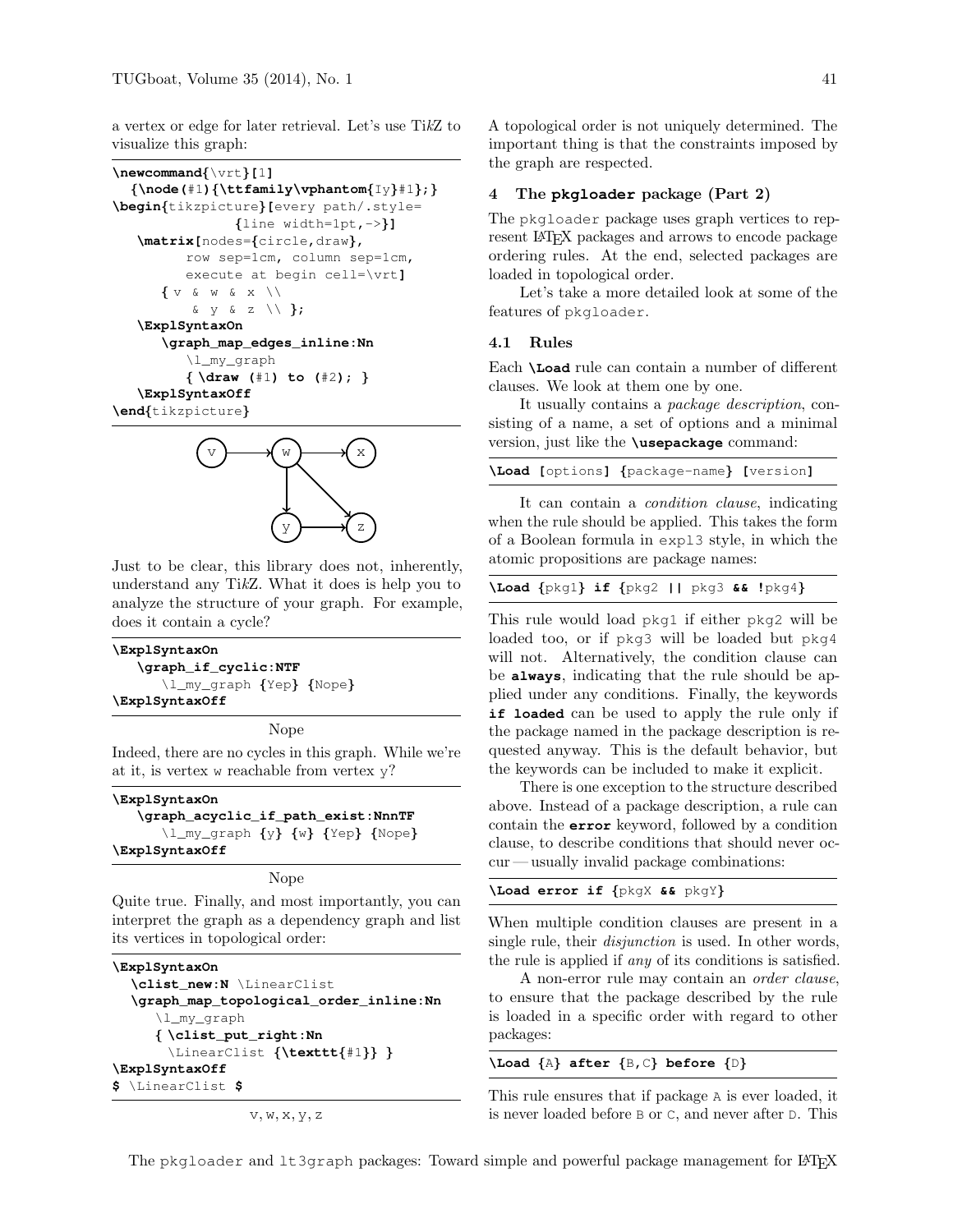a vertex or edge for later retrieval. Let's use TikZ to visualize this graph:

```
\newcommand{\vrt}[1]
   {\node(#1){\ttfamily\vphantom{Iy}#1};}
\begin{tikzpicture}[every path/.style=
                     {line width=1pt,->}]
    \matrix[nodes={circle,draw},
            row sep=1cm, column sep=1cm,
            execute at begin cell=\vrt]
        \label{eq:1} \left\{ \begin{array}{ccc} \textbf{V} & \textbf{\&} & \textbf{W} & \textbf{\&} & \textbf{X} & \textbf{W} \end{array} \right.& y & z \setminus };
    \ExplSyntaxOn
        \graph_map_edges_inline:Nn
            \l_my_graph
            { \draw (#1) to (#2); }
    \ExplSyntaxOff
\end{tikzpicture}
```


Just to be clear, this library does not, inherently, understand any TikZ. What it does is help you to analyze the structure of your graph. For example, does it contain a cycle?

| \ExplSyntaxOn            |  |  |
|--------------------------|--|--|
| \graph_if_cyclic:NTF     |  |  |
| \l_my_graph {Yep} {Nope} |  |  |
| \ExplSyntaxOff           |  |  |

Nope

Indeed, there are no cycles in this graph. While we're at it, is vertex w reachable from vertex y?

**\ExplSyntaxOn \graph\_acyclic\_if\_path\_exist:NnnTF** \l\_my\_graph {y} {w} {Yep} {Nope} **\ExplSyntaxOff**

Nope

Quite true. Finally, and most importantly, you can interpret the graph as a dependency graph and list its vertices in topological order:

```
\ExplSyntaxOn
  \clist_new:N \LinearClist
  \graph_map_topological_order_inline:Nn
     \l_my_graph
     { \clist_put_right:Nn
       \LinearClist {\texttt{#1}} }
\ExplSyntaxOff
$ \LinearClist $
```

```
v, w, x, y, z
```
A topological order is not uniquely determined. The important thing is that the constraints imposed by the graph are respected.

#### <span id="page-2-0"></span>4 The **pkgloader** package (Part 2)

The pkgloader package uses graph vertices to represent LAT<sub>EX</sub> packages and arrows to encode package ordering rules. At the end, selected packages are loaded in topological order.

Let's take a more detailed look at some of the features of pkgloader.

## 4.1 Rules

Each **\Load** rule can contain a number of different clauses. We look at them one by one.

It usually contains a package description, consisting of a name, a set of options and a minimal version, just like the **\usepackage** command:

|  | \Load [options] {package-name} [version]              |  |
|--|-------------------------------------------------------|--|
|  | It can contain a <i>condition clause</i> , indicating |  |

when the rule should be applied. This takes the form of a Boolean formula in expl3 style, in which the atomic propositions are package names:

|  |  |  | \Load {pkg1} if {pkg2    pkg3 && !pkg4} |  |
|--|--|--|-----------------------------------------|--|
|  |  |  |                                         |  |

This rule would load pkg1 if either pkg2 will be loaded too, or if pkg3 will be loaded but pkg4 will not. Alternatively, the condition clause can be **always**, indicating that the rule should be applied under any conditions. Finally, the keywords **if loaded** can be used to apply the rule only if the package named in the package description is requested anyway. This is the default behavior, but the keywords can be included to make it explicit.

There is one exception to the structure described above. Instead of a package description, a rule can contain the **error** keyword, followed by a condition clause, to describe conditions that should never occur — usually invalid package combinations:

#### **\Load error if** {pkgX **&&** pkgY}

When multiple condition clauses are present in a single rule, their *disjunction* is used. In other words, the rule is applied if any of its conditions is satisfied.

A non-error rule may contain an order clause, to ensure that the package described by the rule is loaded in a specific order with regard to other packages:

**\Load** {A} **after** {B**,**C} **before** {D}

This rule ensures that if package A is ever loaded, it is never loaded before B or C, and never after D. This

The pkgloader and lt3graph packages: Toward simple and powerful package management for L<sup>AT</sup>FX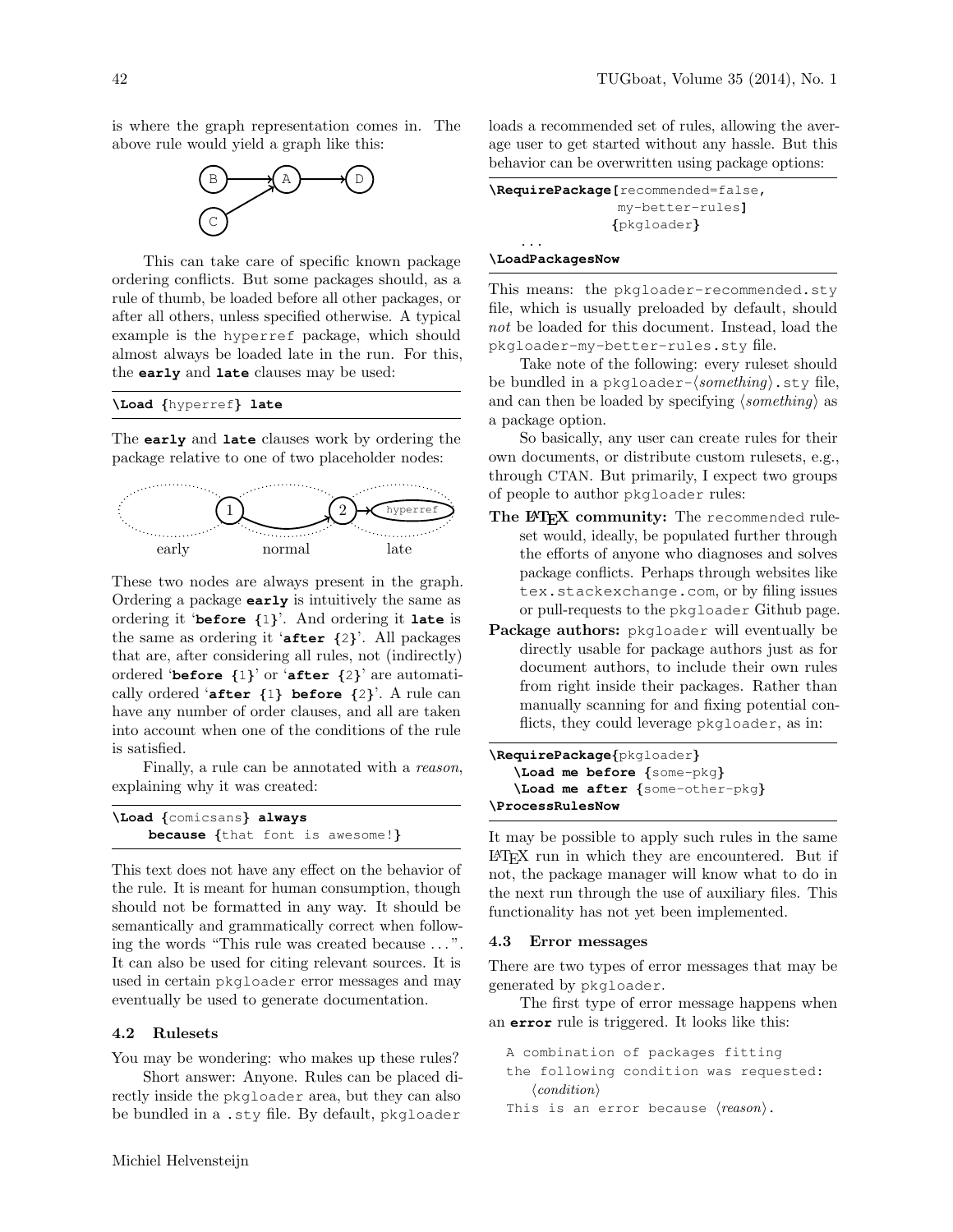is where the graph representation comes in. The above rule would yield a graph like this:



This can take care of specific known package ordering conflicts. But some packages should, as a rule of thumb, be loaded before all other packages, or after all others, unless specified otherwise. A typical example is the hyperref package, which should almost always be loaded late in the run. For this, the **early** and **late** clauses may be used:

## **\Load** {hyperref} **late**

The **early** and **late** clauses work by ordering the package relative to one of two placeholder nodes:



These two nodes are always present in the graph. Ordering a package **early** is intuitively the same as ordering it '**before** {1}'. And ordering it **late** is the same as ordering it '**after** {2}'. All packages that are, after considering all rules, not (indirectly) ordered '**before** {1}' or '**after** {2}' are automatically ordered '**after** {1} **before** {2}'. A rule can have any number of order clauses, and all are taken into account when one of the conditions of the rule is satisfied.

Finally, a rule can be annotated with a reason, explaining why it was created:

| \Load {comicsans} always |  |                                        |
|--------------------------|--|----------------------------------------|
|                          |  | <b>because</b> {that font is awesome!} |

This text does not have any effect on the behavior of the rule. It is meant for human consumption, though should not be formatted in any way. It should be semantically and grammatically correct when following the words "This rule was created because . . . ". It can also be used for citing relevant sources. It is used in certain pkgloader error messages and may eventually be used to generate documentation.

#### 4.2 Rulesets

You may be wondering: who makes up these rules?

Short answer: Anyone. Rules can be placed directly inside the pkgloader area, but they can also be bundled in a .sty file. By default, pkgloader

loads a recommended set of rules, allowing the average user to get started without any hassle. But this behavior can be overwritten using package options:

| <b>\RequirePackage[</b> recommended=false, |
|--------------------------------------------|
| my-better-rules1                           |
| {pkgloader}                                |
|                                            |

#### **\LoadPackagesNow**

This means: the pkgloader-recommended.sty file, which is usually preloaded by default, should not be loaded for this document. Instead, load the pkgloader-my-better-rules.sty file.

Take note of the following: every ruleset should be bundled in a pkgloader- $\langle something \rangle$ .sty file, and can then be loaded by specifying  $\langle something \rangle$  as a package option.

So basically, any user can create rules for their own documents, or distribute custom rulesets, e.g., through CTAN. But primarily, I expect two groups of people to author pkgloader rules:

- The LATEX community: The recommended ruleset would, ideally, be populated further through the efforts of anyone who diagnoses and solves package conflicts. Perhaps through websites like [tex.stackexchange.com](http://tex.stackexchange.com), or by filing issues or pull-requests to the pkgloader [Github page.](https://www.github.com/mhelvens/latex-pkgloader)
- Package authors: pkgloader will eventually be directly usable for package authors just as for document authors, to include their own rules from right inside their packages. Rather than manually scanning for and fixing potential conflicts, they could leverage pkgloader, as in:

```
\RequirePackage{pkgloader}
   \Load me before {some-pkg}
   \Load me after {some-other-pkg}
\ProcessRulesNow
```
It may be possible to apply such rules in the same LATEX run in which they are encountered. But if not, the package manager will know what to do in the next run through the use of auxiliary files. This functionality has not yet been implemented.

#### 4.3 Error messages

There are two types of error messages that may be generated by pkgloader.

The first type of error message happens when an **error** rule is triggered. It looks like this:

A combination of packages fitting the following condition was requested:  $\langle condition \rangle$ 

This is an error because  $\langle reason \rangle$ .